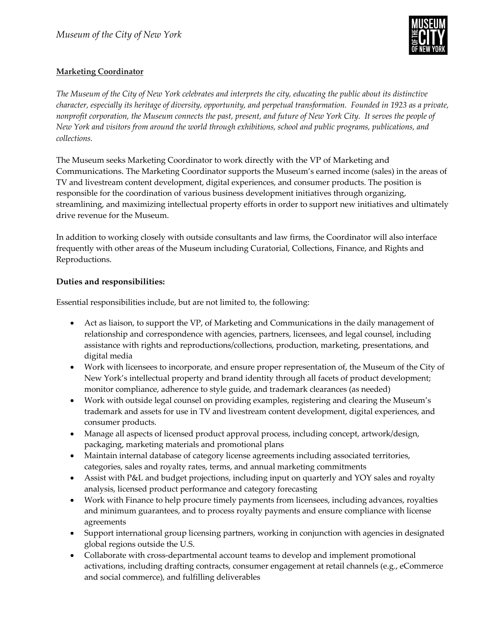

# **Marketing Coordinator**

*The Museum of the City of New York celebrates and interprets the city, educating the public about its distinctive character, especially its heritage of diversity, opportunity, and perpetual transformation. Founded in 1923 as a private, nonprofit corporation, the Museum connects the past, present, and future of New York City. It serves the people of New York and visitors from around the world through exhibitions, school and public programs, publications, and collections.*

The Museum seeks Marketing Coordinator to work directly with the VP of Marketing and Communications. The Marketing Coordinator supports the Museum's earned income (sales) in the areas of TV and livestream content development, digital experiences, and consumer products. The position is responsible for the coordination of various business development initiatives through organizing, streamlining, and maximizing intellectual property efforts in order to support new initiatives and ultimately drive revenue for the Museum.

In addition to working closely with outside consultants and law firms, the Coordinator will also interface frequently with other areas of the Museum including Curatorial, Collections, Finance, and Rights and Reproductions.

## **Duties and responsibilities:**

Essential responsibilities include, but are not limited to, the following:

- Act as liaison, to support the VP, of Marketing and Communications in the daily management of relationship and correspondence with agencies, partners, licensees, and legal counsel, including assistance with rights and reproductions/collections, production, marketing, presentations, and digital media
- Work with licensees to incorporate, and ensure proper representation of, the Museum of the City of New York's intellectual property and brand identity through all facets of product development; monitor compliance, adherence to style guide, and trademark clearances (as needed)
- Work with outside legal counsel on providing examples, registering and clearing the Museum's trademark and assets for use in TV and livestream content development, digital experiences, and consumer products.
- Manage all aspects of licensed product approval process, including concept, artwork/design, packaging, marketing materials and promotional plans
- Maintain internal database of category license agreements including associated territories, categories, sales and royalty rates, terms, and annual marketing commitments
- Assist with P&L and budget projections, including input on quarterly and YOY sales and royalty analysis, licensed product performance and category forecasting
- Work with Finance to help procure timely payments from licensees, including advances, royalties and minimum guarantees, and to process royalty payments and ensure compliance with license agreements
- Support international group licensing partners, working in conjunction with agencies in designated global regions outside the U.S.
- Collaborate with cross-departmental account teams to develop and implement promotional activations, including drafting contracts, consumer engagement at retail channels (e.g., eCommerce and social commerce), and fulfilling deliverables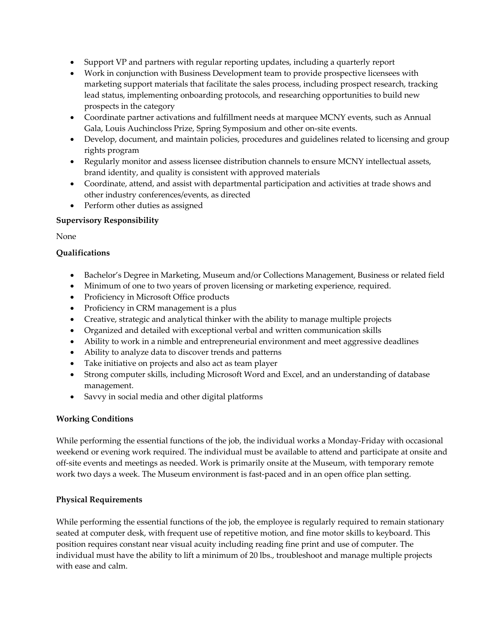- Support VP and partners with regular reporting updates, including a quarterly report
- Work in conjunction with Business Development team to provide prospective licensees with marketing support materials that facilitate the sales process, including prospect research, tracking lead status, implementing onboarding protocols, and researching opportunities to build new prospects in the category
- Coordinate partner activations and fulfillment needs at marquee MCNY events, such as Annual Gala, Louis Auchincloss Prize, Spring Symposium and other on-site events.
- Develop, document, and maintain policies, procedures and guidelines related to licensing and group rights program
- Regularly monitor and assess licensee distribution channels to ensure MCNY intellectual assets, brand identity, and quality is consistent with approved materials
- Coordinate, attend, and assist with departmental participation and activities at trade shows and other industry conferences/events, as directed
- Perform other duties as assigned

## **Supervisory Responsibility**

None

## **Qualifications**

- Bachelor's Degree in Marketing, Museum and/or Collections Management, Business or related field
- Minimum of one to two years of proven licensing or marketing experience, required.
- Proficiency in Microsoft Office products
- Proficiency in CRM management is a plus
- Creative, strategic and analytical thinker with the ability to manage multiple projects
- Organized and detailed with exceptional verbal and written communication skills
- Ability to work in a nimble and entrepreneurial environment and meet aggressive deadlines
- Ability to analyze data to discover trends and patterns
- Take initiative on projects and also act as team player
- Strong computer skills, including Microsoft Word and Excel, and an understanding of database management.
- Savvy in social media and other digital platforms

### **Working Conditions**

While performing the essential functions of the job, the individual works a Monday-Friday with occasional weekend or evening work required. The individual must be available to attend and participate at onsite and off-site events and meetings as needed. Work is primarily onsite at the Museum, with temporary remote work two days a week. The Museum environment is fast-paced and in an open office plan setting.

### **Physical Requirements**

While performing the essential functions of the job, the employee is regularly required to remain stationary seated at computer desk, with frequent use of repetitive motion, and fine motor skills to keyboard. This position requires constant near visual acuity including reading fine print and use of computer. The individual must have the ability to lift a minimum of 20 lbs., troubleshoot and manage multiple projects with ease and calm.